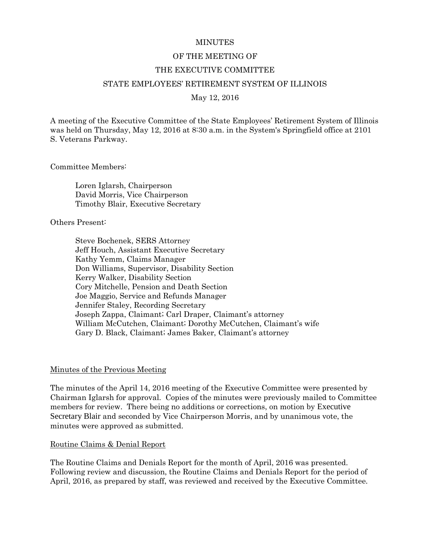#### **MINUTES**

#### OF THE MEETING OF

#### THE EXECUTIVE COMMITTEE

#### STATE EMPLOYEES' RETIREMENT SYSTEM OF ILLINOIS

#### May 12, 2016

A meeting of the Executive Committee of the State Employees' Retirement System of Illinois was held on Thursday, May 12, 2016 at 8:30 a.m. in the System's Springfield office at 2101 S. Veterans Parkway.

Committee Members:

Loren Iglarsh, Chairperson David Morris, Vice Chairperson Timothy Blair, Executive Secretary

Others Present:

Steve Bochenek, SERS Attorney Jeff Houch, Assistant Executive Secretary Kathy Yemm, Claims Manager Don Williams, Supervisor, Disability Section Kerry Walker, Disability Section Cory Mitchelle, Pension and Death Section Joe Maggio, Service and Refunds Manager Jennifer Staley, Recording Secretary Joseph Zappa, Claimant; Carl Draper, Claimant's attorney William McCutchen, Claimant; Dorothy McCutchen, Claimant's wife Gary D. Black, Claimant; James Baker, Claimant's attorney

#### Minutes of the Previous Meeting

The minutes of the April 14, 2016 meeting of the Executive Committee were presented by Chairman Iglarsh for approval. Copies of the minutes were previously mailed to Committee members for review. There being no additions or corrections, on motion by Executive Secretary Blair and seconded by Vice Chairperson Morris, and by unanimous vote, the minutes were approved as submitted.

#### Routine Claims & Denial Report

The Routine Claims and Denials Report for the month of April, 2016 was presented. Following review and discussion, the Routine Claims and Denials Report for the period of April, 2016, as prepared by staff, was reviewed and received by the Executive Committee.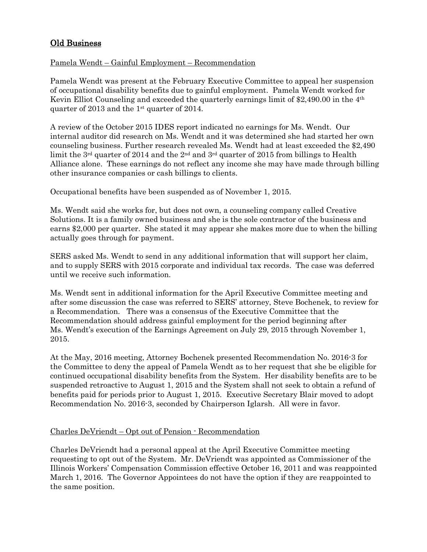# Old Business

# Pamela Wendt – Gainful Employment – Recommendation

Pamela Wendt was present at the February Executive Committee to appeal her suspension of occupational disability benefits due to gainful employment. Pamela Wendt worked for Kevin Elliot Counseling and exceeded the quarterly earnings limit of \$2,490.00 in the 4th quarter of 2013 and the 1st quarter of 2014.

A review of the October 2015 IDES report indicated no earnings for Ms. Wendt. Our internal auditor did research on Ms. Wendt and it was determined she had started her own counseling business. Further research revealed Ms. Wendt had at least exceeded the \$2,490 limit the 3<sup>rd</sup> quarter of 2014 and the 2<sup>nd</sup> and 3<sup>rd</sup> quarter of 2015 from billings to Health Alliance alone. These earnings do not reflect any income she may have made through billing other insurance companies or cash billings to clients.

Occupational benefits have been suspended as of November 1, 2015.

Ms. Wendt said she works for, but does not own, a counseling company called Creative Solutions. It is a family owned business and she is the sole contractor of the business and earns \$2,000 per quarter. She stated it may appear she makes more due to when the billing actually goes through for payment.

SERS asked Ms. Wendt to send in any additional information that will support her claim, and to supply SERS with 2015 corporate and individual tax records. The case was deferred until we receive such information.

Ms. Wendt sent in additional information for the April Executive Committee meeting and after some discussion the case was referred to SERS' attorney, Steve Bochenek, to review for a Recommendation. There was a consensus of the Executive Committee that the Recommendation should address gainful employment for the period beginning after Ms. Wendt's execution of the Earnings Agreement on July 29, 2015 through November 1, 2015.

At the May, 2016 meeting, Attorney Bochenek presented Recommendation No. 2016-3 for the Committee to deny the appeal of Pamela Wendt as to her request that she be eligible for continued occupational disability benefits from the System. Her disability benefits are to be suspended retroactive to August 1, 2015 and the System shall not seek to obtain a refund of benefits paid for periods prior to August 1, 2015. Executive Secretary Blair moved to adopt Recommendation No. 2016-3, seconded by Chairperson Iglarsh. All were in favor.

# Charles DeVriendt – Opt out of Pension - Recommendation

Charles DeVriendt had a personal appeal at the April Executive Committee meeting requesting to opt out of the System. Mr. DeVriendt was appointed as Commissioner of the Illinois Workers' Compensation Commission effective October 16, 2011 and was reappointed March 1, 2016. The Governor Appointees do not have the option if they are reappointed to the same position.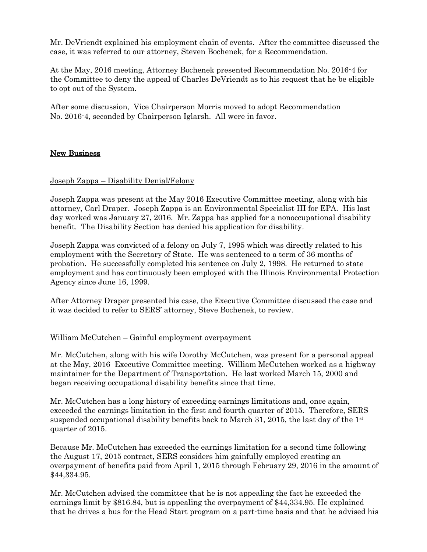Mr. DeVriendt explained his employment chain of events. After the committee discussed the case, it was referred to our attorney, Steven Bochenek, for a Recommendation.

At the May, 2016 meeting, Attorney Bochenek presented Recommendation No. 2016-4 for the Committee to deny the appeal of Charles DeVriendt as to his request that he be eligible to opt out of the System.

After some discussion, Vice Chairperson Morris moved to adopt Recommendation No. 2016-4, seconded by Chairperson Iglarsh. All were in favor.

# New Business

# Joseph Zappa – Disability Denial/Felony

Joseph Zappa was present at the May 2016 Executive Committee meeting, along with his attorney, Carl Draper. Joseph Zappa is an Environmental Specialist III for EPA. His last day worked was January 27, 2016. Mr. Zappa has applied for a nonoccupational disability benefit. The Disability Section has denied his application for disability.

Joseph Zappa was convicted of a felony on July 7, 1995 which was directly related to his employment with the Secretary of State. He was sentenced to a term of 36 months of probation. He successfully completed his sentence on July 2, 1998. He returned to state employment and has continuously been employed with the Illinois Environmental Protection Agency since June 16, 1999.

After Attorney Draper presented his case, the Executive Committee discussed the case and it was decided to refer to SERS' attorney, Steve Bochenek, to review.

# William McCutchen – Gainful employment overpayment

Mr. McCutchen, along with his wife Dorothy McCutchen, was present for a personal appeal at the May, 2016 Executive Committee meeting. William McCutchen worked as a highway maintainer for the Department of Transportation. He last worked March 15, 2000 and began receiving occupational disability benefits since that time.

Mr. McCutchen has a long history of exceeding earnings limitations and, once again, exceeded the earnings limitation in the first and fourth quarter of 2015. Therefore, SERS suspended occupational disability benefits back to March 31, 2015, the last day of the  $1<sup>st</sup>$ quarter of 2015.

Because Mr. McCutchen has exceeded the earnings limitation for a second time following the August 17, 2015 contract, SERS considers him gainfully employed creating an overpayment of benefits paid from April 1, 2015 through February 29, 2016 in the amount of \$44,334.95.

Mr. McCutchen advised the committee that he is not appealing the fact he exceeded the earnings limit by \$816.84, but is appealing the overpayment of \$44,334.95. He explained that he drives a bus for the Head Start program on a part-time basis and that he advised his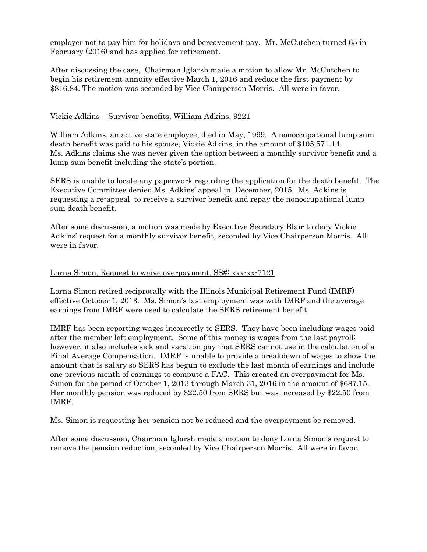employer not to pay him for holidays and bereavement pay. Mr. McCutchen turned 65 in February (2016) and has applied for retirement.

After discussing the case, Chairman Iglarsh made a motion to allow Mr. McCutchen to begin his retirement annuity effective March 1, 2016 and reduce the first payment by \$816.84. The motion was seconded by Vice Chairperson Morris. All were in favor.

### Vickie Adkins – Survivor benefits, William Adkins, 9221

William Adkins, an active state employee, died in May, 1999. A nonoccupational lump sum death benefit was paid to his spouse, Vickie Adkins, in the amount of \$105,571.14. Ms. Adkins claims she was never given the option between a monthly survivor benefit and a lump sum benefit including the state's portion.

SERS is unable to locate any paperwork regarding the application for the death benefit. The Executive Committee denied Ms. Adkins' appeal in December, 2015. Ms. Adkins is requesting a re-appeal to receive a survivor benefit and repay the nonoccupational lump sum death benefit.

After some discussion, a motion was made by Executive Secretary Blair to deny Vickie Adkins' request for a monthly survivor benefit, seconded by Vice Chairperson Morris. All were in favor.

### Lorna Simon, Request to waive overpayment, SS#: xxx-xx-7121

Lorna Simon retired reciprocally with the Illinois Municipal Retirement Fund (IMRF) effective October 1, 2013. Ms. Simon's last employment was with IMRF and the average earnings from IMRF were used to calculate the SERS retirement benefit.

IMRF has been reporting wages incorrectly to SERS. They have been including wages paid after the member left employment. Some of this money is wages from the last payroll; however, it also includes sick and vacation pay that SERS cannot use in the calculation of a Final Average Compensation. IMRF is unable to provide a breakdown of wages to show the amount that is salary so SERS has begun to exclude the last month of earnings and include one previous month of earnings to compute a FAC. This created an overpayment for Ms. Simon for the period of October 1, 2013 through March 31, 2016 in the amount of \$687.15. Her monthly pension was reduced by \$22.50 from SERS but was increased by \$22.50 from IMRF.

Ms. Simon is requesting her pension not be reduced and the overpayment be removed.

After some discussion, Chairman Iglarsh made a motion to deny Lorna Simon's request to remove the pension reduction, seconded by Vice Chairperson Morris. All were in favor.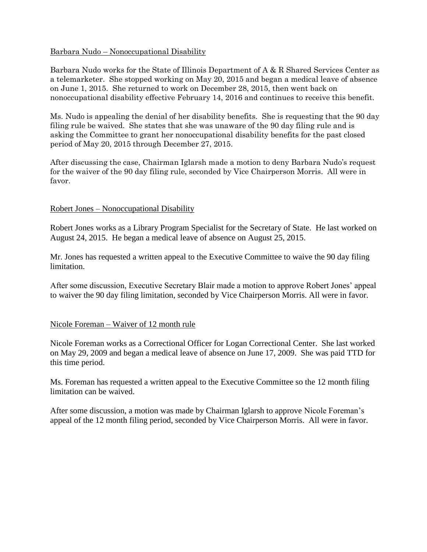# Barbara Nudo – Nonoccupational Disability

Barbara Nudo works for the State of Illinois Department of A & R Shared Services Center as a telemarketer. She stopped working on May 20, 2015 and began a medical leave of absence on June 1, 2015. She returned to work on December 28, 2015, then went back on nonoccupational disability effective February 14, 2016 and continues to receive this benefit.

Ms. Nudo is appealing the denial of her disability benefits. She is requesting that the 90 day filing rule be waived. She states that she was unaware of the 90 day filing rule and is asking the Committee to grant her nonoccupational disability benefits for the past closed period of May 20, 2015 through December 27, 2015.

After discussing the case, Chairman Iglarsh made a motion to deny Barbara Nudo's request for the waiver of the 90 day filing rule, seconded by Vice Chairperson Morris. All were in favor.

#### Robert Jones – Nonoccupational Disability

Robert Jones works as a Library Program Specialist for the Secretary of State. He last worked on August 24, 2015. He began a medical leave of absence on August 25, 2015.

Mr. Jones has requested a written appeal to the Executive Committee to waive the 90 day filing limitation.

After some discussion, Executive Secretary Blair made a motion to approve Robert Jones' appeal to waiver the 90 day filing limitation, seconded by Vice Chairperson Morris. All were in favor.

# Nicole Foreman – Waiver of 12 month rule

Nicole Foreman works as a Correctional Officer for Logan Correctional Center. She last worked on May 29, 2009 and began a medical leave of absence on June 17, 2009. She was paid TTD for this time period.

Ms. Foreman has requested a written appeal to the Executive Committee so the 12 month filing limitation can be waived.

After some discussion, a motion was made by Chairman Iglarsh to approve Nicole Foreman's appeal of the 12 month filing period, seconded by Vice Chairperson Morris. All were in favor.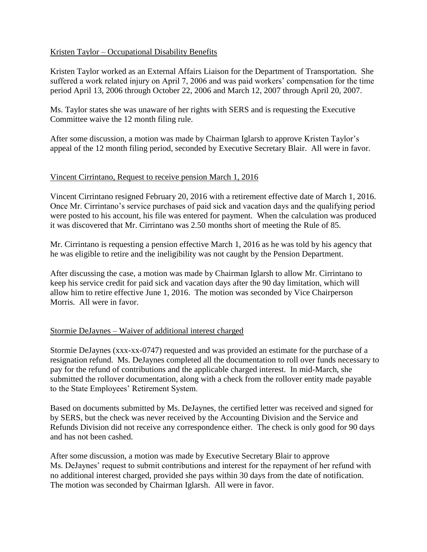# Kristen Taylor – Occupational Disability Benefits

Kristen Taylor worked as an External Affairs Liaison for the Department of Transportation. She suffered a work related injury on April 7, 2006 and was paid workers' compensation for the time period April 13, 2006 through October 22, 2006 and March 12, 2007 through April 20, 2007.

Ms. Taylor states she was unaware of her rights with SERS and is requesting the Executive Committee waive the 12 month filing rule.

After some discussion, a motion was made by Chairman Iglarsh to approve Kristen Taylor's appeal of the 12 month filing period, seconded by Executive Secretary Blair. All were in favor.

# Vincent Cirrintano, Request to receive pension March 1, 2016

Vincent Cirrintano resigned February 20, 2016 with a retirement effective date of March 1, 2016. Once Mr. Cirrintano's service purchases of paid sick and vacation days and the qualifying period were posted to his account, his file was entered for payment. When the calculation was produced it was discovered that Mr. Cirrintano was 2.50 months short of meeting the Rule of 85.

Mr. Cirrintano is requesting a pension effective March 1, 2016 as he was told by his agency that he was eligible to retire and the ineligibility was not caught by the Pension Department.

After discussing the case, a motion was made by Chairman Iglarsh to allow Mr. Cirrintano to keep his service credit for paid sick and vacation days after the 90 day limitation, which will allow him to retire effective June 1, 2016. The motion was seconded by Vice Chairperson Morris. All were in favor.

# Stormie DeJaynes – Waiver of additional interest charged

Stormie DeJaynes (xxx-xx-0747) requested and was provided an estimate for the purchase of a resignation refund. Ms. DeJaynes completed all the documentation to roll over funds necessary to pay for the refund of contributions and the applicable charged interest. In mid-March, she submitted the rollover documentation, along with a check from the rollover entity made payable to the State Employees' Retirement System.

Based on documents submitted by Ms. DeJaynes, the certified letter was received and signed for by SERS, but the check was never received by the Accounting Division and the Service and Refunds Division did not receive any correspondence either. The check is only good for 90 days and has not been cashed.

After some discussion, a motion was made by Executive Secretary Blair to approve Ms. DeJaynes' request to submit contributions and interest for the repayment of her refund with no additional interest charged, provided she pays within 30 days from the date of notification. The motion was seconded by Chairman Iglarsh. All were in favor.